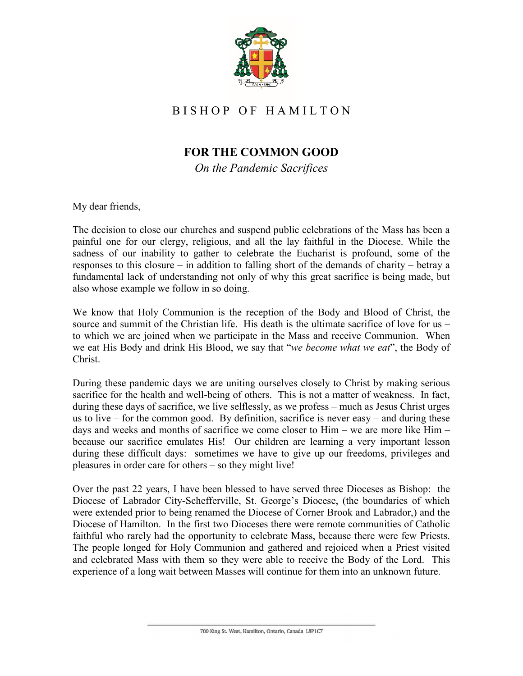

## B I S H O P O F H A M I L T O N

## **FOR THE COMMON GOOD**

*On the Pandemic Sacrifices*

My dear friends,

The decision to close our churches and suspend public celebrations of the Mass has been a painful one for our clergy, religious, and all the lay faithful in the Diocese. While the sadness of our inability to gather to celebrate the Eucharist is profound, some of the responses to this closure – in addition to falling short of the demands of charity – betray a fundamental lack of understanding not only of why this great sacrifice is being made, but also whose example we follow in so doing.

We know that Holy Communion is the reception of the Body and Blood of Christ, the source and summit of the Christian life. His death is the ultimate sacrifice of love for us – to which we are joined when we participate in the Mass and receive Communion. When we eat His Body and drink His Blood, we say that "*we become what we eat*", the Body of Christ.

During these pandemic days we are uniting ourselves closely to Christ by making serious sacrifice for the health and well-being of others. This is not a matter of weakness. In fact, during these days of sacrifice, we live selflessly, as we profess – much as Jesus Christ urges us to live – for the common good. By definition, sacrifice is never easy – and during these days and weeks and months of sacrifice we come closer to Him – we are more like Him – because our sacrifice emulates His! Our children are learning a very important lesson during these difficult days: sometimes we have to give up our freedoms, privileges and pleasures in order care for others – so they might live!

Over the past 22 years, I have been blessed to have served three Dioceses as Bishop: the Diocese of Labrador City-Schefferville, St. George's Diocese, (the boundaries of which were extended prior to being renamed the Diocese of Corner Brook and Labrador,) and the Diocese of Hamilton. In the first two Dioceses there were remote communities of Catholic faithful who rarely had the opportunity to celebrate Mass, because there were few Priests. The people longed for Holy Communion and gathered and rejoiced when a Priest visited and celebrated Mass with them so they were able to receive the Body of the Lord. This experience of a long wait between Masses will continue for them into an unknown future.